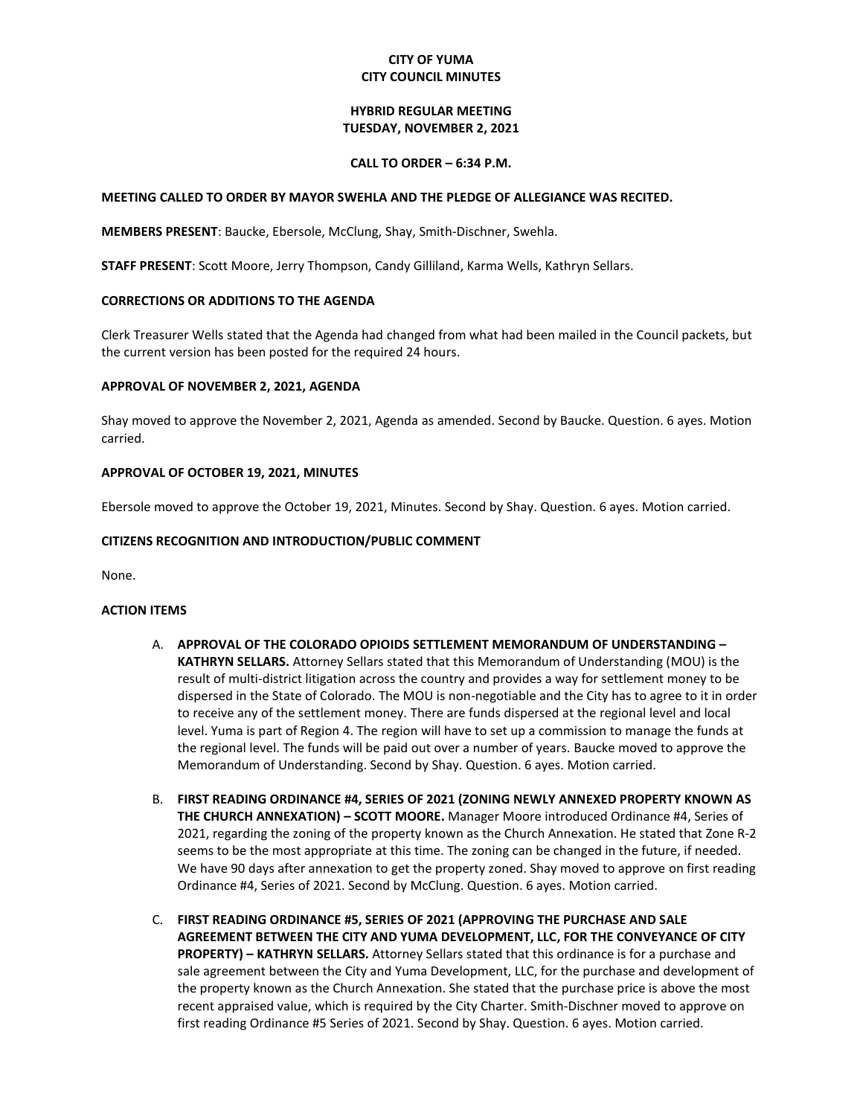# **CITY OF YUMA CITY COUNCIL MINUTES**

## **HYBRID REGULAR MEETING TUESDAY, NOVEMBER 2, 2021**

### **CALL TO ORDER – 6:34 P.M.**

### **MEETING CALLED TO ORDER BY MAYOR SWEHLA AND THE PLEDGE OF ALLEGIANCE WAS RECITED.**

**MEMBERS PRESENT**: Baucke, Ebersole, McClung, Shay, Smith-Dischner, Swehla.

**STAFF PRESENT**: Scott Moore, Jerry Thompson, Candy Gilliland, Karma Wells, Kathryn Sellars.

## **CORRECTIONS OR ADDITIONS TO THE AGENDA**

Clerk Treasurer Wells stated that the Agenda had changed from what had been mailed in the Council packets, but the current version has been posted for the required 24 hours.

## **APPROVAL OF NOVEMBER 2, 2021, AGENDA**

Shay moved to approve the November 2, 2021, Agenda as amended. Second by Baucke. Question. 6 ayes. Motion carried.

### **APPROVAL OF OCTOBER 19, 2021, MINUTES**

Ebersole moved to approve the October 19, 2021, Minutes. Second by Shay. Question. 6 ayes. Motion carried.

## **CITIZENS RECOGNITION AND INTRODUCTION/PUBLIC COMMENT**

None.

### **ACTION ITEMS**

- A. **APPROVAL OF THE COLORADO OPIOIDS SETTLEMENT MEMORANDUM OF UNDERSTANDING – KATHRYN SELLARS.** Attorney Sellars stated that this Memorandum of Understanding (MOU) is the result of multi-district litigation across the country and provides a way for settlement money to be dispersed in the State of Colorado. The MOU is non-negotiable and the City has to agree to it in order to receive any of the settlement money. There are funds dispersed at the regional level and local level. Yuma is part of Region 4. The region will have to set up a commission to manage the funds at the regional level. The funds will be paid out over a number of years. Baucke moved to approve the Memorandum of Understanding. Second by Shay. Question. 6 ayes. Motion carried.
- B. **FIRST READING ORDINANCE #4, SERIES OF 2021 (ZONING NEWLY ANNEXED PROPERTY KNOWN AS THE CHURCH ANNEXATION) – SCOTT MOORE.** Manager Moore introduced Ordinance #4, Series of 2021, regarding the zoning of the property known as the Church Annexation. He stated that Zone R-2 seems to be the most appropriate at this time. The zoning can be changed in the future, if needed. We have 90 days after annexation to get the property zoned. Shay moved to approve on first reading Ordinance #4, Series of 2021. Second by McClung. Question. 6 ayes. Motion carried.
- C. **FIRST READING ORDINANCE #5, SERIES OF 2021 (APPROVING THE PURCHASE AND SALE AGREEMENT BETWEEN THE CITY AND YUMA DEVELOPMENT, LLC, FOR THE CONVEYANCE OF CITY PROPERTY) – KATHRYN SELLARS.** Attorney Sellars stated that this ordinance is for a purchase and sale agreement between the City and Yuma Development, LLC, for the purchase and development of the property known as the Church Annexation. She stated that the purchase price is above the most recent appraised value, which is required by the City Charter. Smith-Dischner moved to approve on first reading Ordinance #5 Series of 2021. Second by Shay. Question. 6 ayes. Motion carried.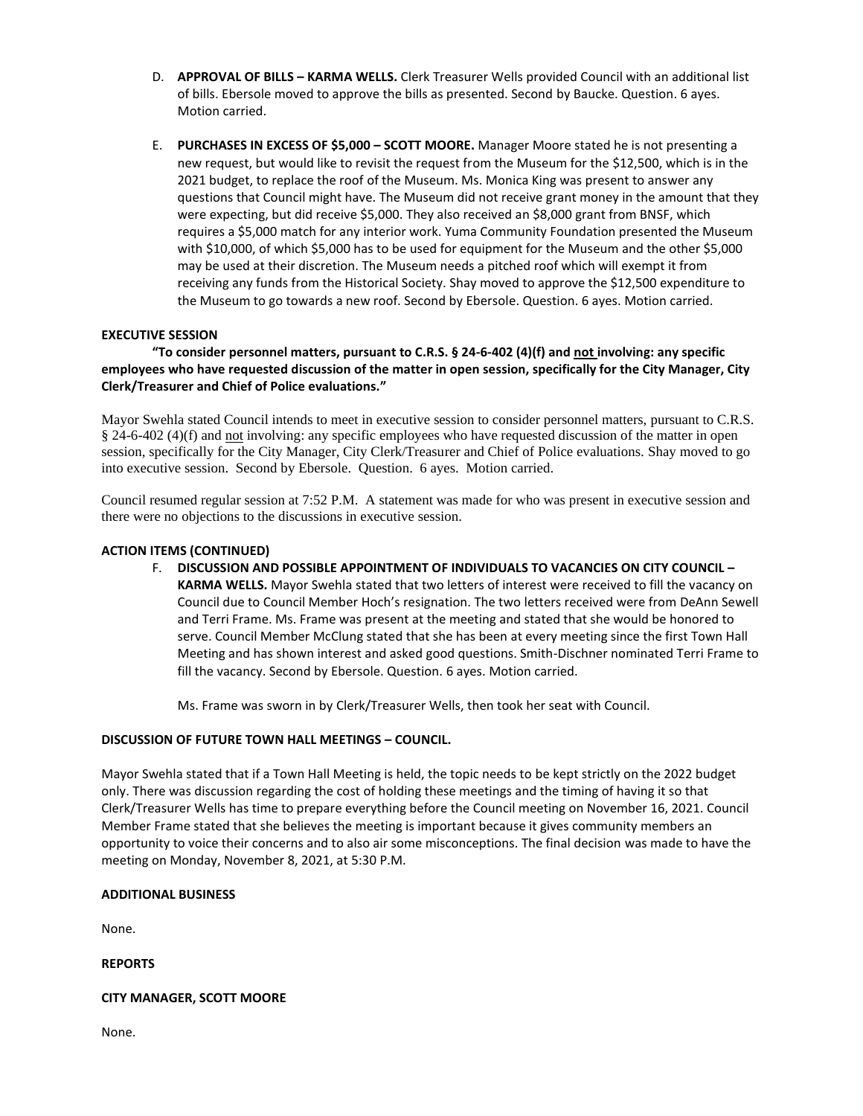- D. **APPROVAL OF BILLS – KARMA WELLS.** Clerk Treasurer Wells provided Council with an additional list of bills. Ebersole moved to approve the bills as presented. Second by Baucke. Question. 6 ayes. Motion carried.
- E. **PURCHASES IN EXCESS OF \$5,000 – SCOTT MOORE.** Manager Moore stated he is not presenting a new request, but would like to revisit the request from the Museum for the \$12,500, which is in the 2021 budget, to replace the roof of the Museum. Ms. Monica King was present to answer any questions that Council might have. The Museum did not receive grant money in the amount that they were expecting, but did receive \$5,000. They also received an \$8,000 grant from BNSF, which requires a \$5,000 match for any interior work. Yuma Community Foundation presented the Museum with \$10,000, of which \$5,000 has to be used for equipment for the Museum and the other \$5,000 may be used at their discretion. The Museum needs a pitched roof which will exempt it from receiving any funds from the Historical Society. Shay moved to approve the \$12,500 expenditure to the Museum to go towards a new roof. Second by Ebersole. Question. 6 ayes. Motion carried.

# **EXECUTIVE SESSION**

## **"To consider personnel matters, pursuant to C.R.S. § 24-6-402 (4)(f) and not involving: any specific employees who have requested discussion of the matter in open session, specifically for the City Manager, City Clerk/Treasurer and Chief of Police evaluations."**

Mayor Swehla stated Council intends to meet in executive session to consider personnel matters, pursuant to C.R.S. § 24-6-402 (4)(f) and not involving: any specific employees who have requested discussion of the matter in open session, specifically for the City Manager, City Clerk/Treasurer and Chief of Police evaluations. Shay moved to go into executive session. Second by Ebersole. Question. 6 ayes. Motion carried.

Council resumed regular session at 7:52 P.M. A statement was made for who was present in executive session and there were no objections to the discussions in executive session.

### **ACTION ITEMS (CONTINUED)**

F. **DISCUSSION AND POSSIBLE APPOINTMENT OF INDIVIDUALS TO VACANCIES ON CITY COUNCIL – KARMA WELLS.** Mayor Swehla stated that two letters of interest were received to fill the vacancy on Council due to Council Member Hoch's resignation. The two letters received were from DeAnn Sewell and Terri Frame. Ms. Frame was present at the meeting and stated that she would be honored to serve. Council Member McClung stated that she has been at every meeting since the first Town Hall Meeting and has shown interest and asked good questions. Smith-Dischner nominated Terri Frame to fill the vacancy. Second by Ebersole. Question. 6 ayes. Motion carried.

Ms. Frame was sworn in by Clerk/Treasurer Wells, then took her seat with Council.

# **DISCUSSION OF FUTURE TOWN HALL MEETINGS – COUNCIL.**

Mayor Swehla stated that if a Town Hall Meeting is held, the topic needs to be kept strictly on the 2022 budget only. There was discussion regarding the cost of holding these meetings and the timing of having it so that Clerk/Treasurer Wells has time to prepare everything before the Council meeting on November 16, 2021. Council Member Frame stated that she believes the meeting is important because it gives community members an opportunity to voice their concerns and to also air some misconceptions. The final decision was made to have the meeting on Monday, November 8, 2021, at 5:30 P.M.

## **ADDITIONAL BUSINESS**

None.

**REPORTS**

### **CITY MANAGER, SCOTT MOORE**

None.